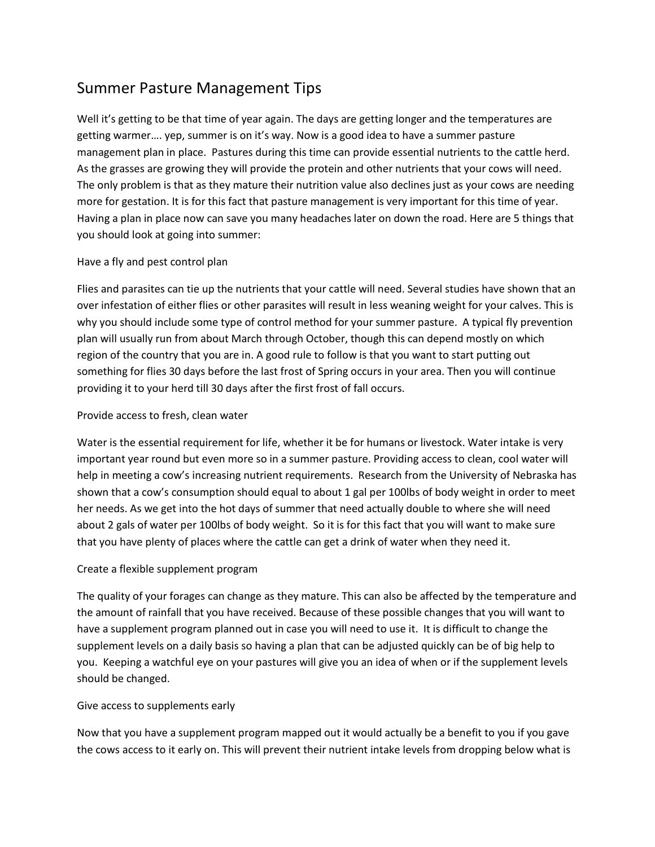# Summer Pasture Management Tips

Well it's getting to be that time of year again. The days are getting longer and the temperatures are getting warmer…. yep, summer is on it's way. Now is a good idea to have a summer pasture management plan in place. Pastures during this time can provide essential nutrients to the cattle herd. As the grasses are growing they will provide the protein and other nutrients that your cows will need. The only problem is that as they mature their nutrition value also declines just as your cows are needing more for gestation. It is for this fact that pasture management is very important for this time of year. Having a plan in place now can save you many headaches later on down the road. Here are 5 things that you should look at going into summer:

# Have a fly and pest control plan

Flies and parasites can tie up the nutrients that your cattle will need. Several studies have shown that an over infestation of either flies or other parasites will result in less weaning weight for your calves. This is why you should include some type of control method for your summer pasture. A typical fly prevention plan will usually run from about March through October, though this can depend mostly on which region of the country that you are in. A good rule to follow is that you want to start putting out something for flies 30 days before the last frost of Spring occurs in your area. Then you will continue providing it to your herd till 30 days after the first frost of fall occurs.

# Provide access to fresh, clean water

Water is the essential requirement for life, whether it be for humans or livestock. Water intake is very important year round but even more so in a summer pasture. Providing access to clean, cool water will help in meeting a cow's increasing nutrient requirements. Research from the University of Nebraska has shown that a cow's consumption should equal to about 1 gal per 100lbs of body weight in order to meet her needs. As we get into the hot days of summer that need actually double to where she will need about 2 gals of water per 100lbs of body weight. So it is for this fact that you will want to make sure that you have plenty of places where the cattle can get a drink of water when they need it.

### Create a flexible supplement program

The quality of your forages can change as they mature. This can also be affected by the temperature and the amount of rainfall that you have received. Because of these possible changes that you will want to have a supplement program planned out in case you will need to use it. It is difficult to change the supplement levels on a daily basis so having a plan that can be adjusted quickly can be of big help to you. Keeping a watchful eye on your pastures will give you an idea of when or if the supplement levels should be changed.

### Give access to supplements early

Now that you have a supplement program mapped out it would actually be a benefit to you if you gave the cows access to it early on. This will prevent their nutrient intake levels from dropping below what is